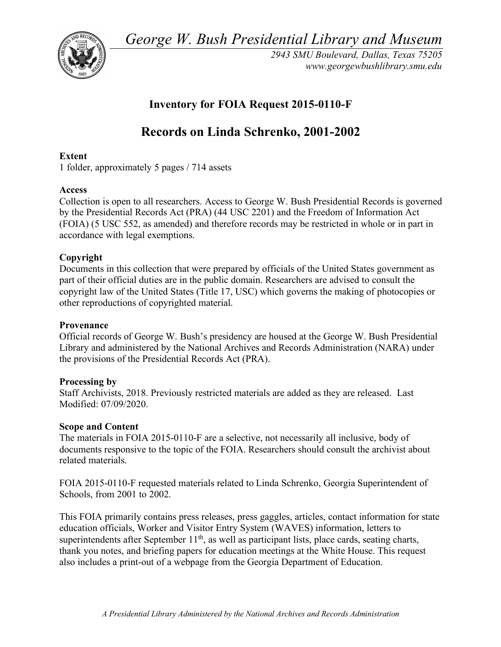*George W. Bush Presidential Library and Museum* 



*2943 SMU Boulevard, Dallas, Texas 75205 <www.georgewbushlibrary.smu.edu>* 

# **Inventory for FOIA Request 2015-0110-F**

# **Records on Linda Schrenko, 2001-2002**

## **Extent**

1 folder, approximately 5 pages / 714 assets

### **Access**

 Collection is open to all researchers. Access to George W. Bush Presidential Records is governed by the Presidential Records Act (PRA) (44 USC 2201) and the Freedom of Information Act (FOIA) (5 USC 552, as amended) and therefore records may be restricted in whole or in part in accordance with legal exemptions.

# **Copyright**

 Documents in this collection that were prepared by officials of the United States government as part of their official duties are in the public domain. Researchers are advised to consult the copyright law of the United States (Title 17, USC) which governs the making of photocopies or other reproductions of copyrighted material.

### **Provenance**

 Official records of George W. Bush's presidency are housed at the George W. Bush Presidential Library and administered by the National Archives and Records Administration (NARA) under the provisions of the Presidential Records Act (PRA).

### **Processing by**

 Staff Archivists, 2018. Previously restricted materials are added as they are released. Last Modified: 07/09/2020.

### **Scope and Content**

 The materials in FOIA 2015-0110-F are a selective, not necessarily all inclusive, body of documents responsive to the topic of the FOIA. Researchers should consult the archivist about related materials.

 FOIA 2015-0110-F requested materials related to Linda Schrenko, Georgia Superintendent of Schools, from 2001 to 2002.

 This FOIA primarily contains press releases, press gaggles, articles, contact information for state education officials, Worker and Visitor Entry System (WAVES) information, letters to superintendents after September  $11<sup>th</sup>$ , as well as participant lists, place cards, seating charts, thank you notes, and briefing papers for education meetings at the White House. This request also includes a print-out of a webpage from the Georgia Department of Education.